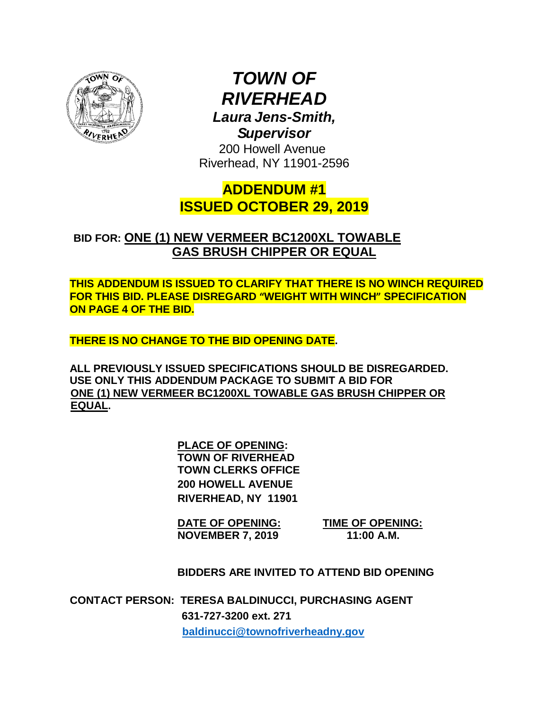

*TOWN OF RIVERHEAD Laura Jens-Smith, Supervisor*

200 Howell Avenue Riverhead, NY 11901-2596

**ADDENDUM #1 ISSUED OCTOBER 29, 2019**

 **BID FOR: ONE (1) NEW VERMEER BC1200XL TOWABLE GAS BRUSH CHIPPER OR EQUAL**

**THIS ADDENDUM IS ISSUED TO CLARIFY THAT THERE IS NO WINCH REQUIRED FOR THIS BID. PLEASE DISREGARD "WEIGHT WITH WINCH" SPECIFICATION ON PAGE 4 OF THE BID.**

**THERE IS NO CHANGE TO THE BID OPENING DATE.**

**ALL PREVIOUSLY ISSUED SPECIFICATIONS SHOULD BE DISREGARDED. USE ONLY THIS ADDENDUM PACKAGE TO SUBMIT A BID FOR ONE (1) NEW VERMEER BC1200XL TOWABLE GAS BRUSH CHIPPER OR EQUAL.**

> **PLACE OF OPENING: TOWN OF RIVERHEAD TOWN CLERKS OFFICE 200 HOWELL AVENUE RIVERHEAD, NY 11901**

**DATE OF OPENING: TIME OF OPENING: NOVEMBER 7, 2019** 

**BIDDERS ARE INVITED TO ATTEND BID OPENING**

**CONTACT PERSON: TERESA BALDINUCCI, PURCHASING AGENT 631-727-3200 ext. 271 [baldinucci@townofriverheadny.gov](mailto:baldinucci@townofriverheadny.gov)**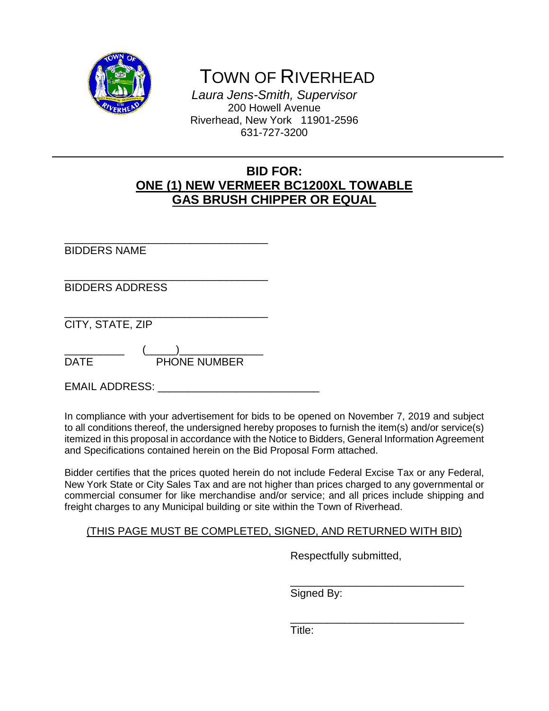

TOWN OF RIVERHEAD

*Laura Jens-Smith, Supervisor* 200 Howell Avenue Riverhead, New York 11901-2596 631-727-3200

# **BID FOR: ONE (1) NEW VERMEER BC1200XL TOWABLE GAS BRUSH CHIPPER OR EQUAL**

\_\_\_\_\_\_\_\_\_\_\_\_\_\_\_\_\_\_\_\_\_\_\_\_\_\_\_\_\_\_\_\_\_\_ BIDDERS NAME \_\_\_\_\_\_\_\_\_\_\_\_\_\_\_\_\_\_\_\_\_\_\_\_\_\_\_\_\_\_\_\_\_\_ BIDDERS ADDRESS \_\_\_\_\_\_\_\_\_\_\_\_\_\_\_\_\_\_\_\_\_\_\_\_\_\_\_\_\_\_\_\_\_\_ CITY, STATE, ZIP \_\_\_\_\_\_\_\_\_\_ (\_\_\_\_\_)\_\_\_\_\_\_\_\_\_\_\_\_\_\_ DATE PHONE NUMBER

EMAIL ADDRESS: **EMAIL ADDRESS**:

In compliance with your advertisement for bids to be opened on November 7, 2019 and subject to all conditions thereof, the undersigned hereby proposes to furnish the item(s) and/or service(s) itemized in this proposal in accordance with the Notice to Bidders, General Information Agreement and Specifications contained herein on the Bid Proposal Form attached.

Bidder certifies that the prices quoted herein do not include Federal Excise Tax or any Federal, New York State or City Sales Tax and are not higher than prices charged to any governmental or commercial consumer for like merchandise and/or service; and all prices include shipping and freight charges to any Municipal building or site within the Town of Riverhead.

## (THIS PAGE MUST BE COMPLETED, SIGNED, AND RETURNED WITH BID)

Respectfully submitted,

\_\_\_\_\_\_\_\_\_\_\_\_\_\_\_\_\_\_\_\_\_\_\_\_\_\_\_\_\_

\_\_\_\_\_\_\_\_\_\_\_\_\_\_\_\_\_\_\_\_\_\_\_\_\_\_\_\_\_ Signed By:

Title: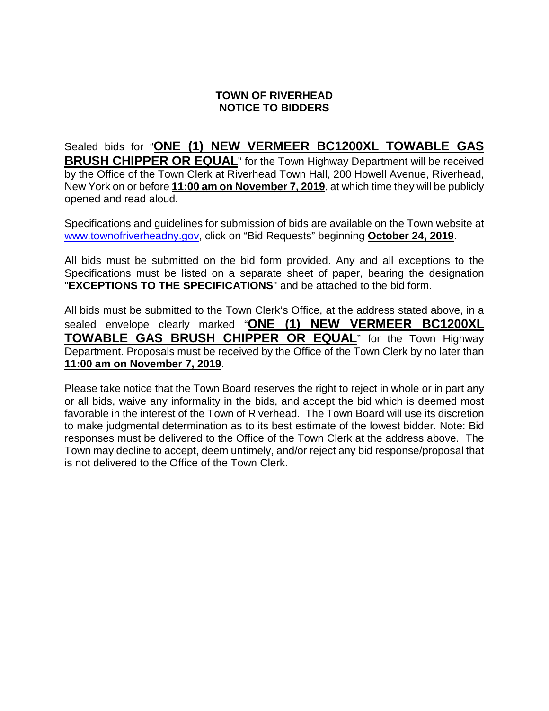### **TOWN OF RIVERHEAD NOTICE TO BIDDERS**

Sealed bids for "**ONE (1) NEW VERMEER BC1200XL TOWABLE GAS BRUSH CHIPPER OR EQUAL**" for the Town Highway Department will be received by the Office of the Town Clerk at Riverhead Town Hall, 200 Howell Avenue, Riverhead, New York on or before **11:00 am on November 7, 2019**, at which time they will be publicly opened and read aloud.

Specifications and guidelines for submission of bids are available on the Town website at [www.townofriverheadny.gov,](http://www.townofriverheadny.gov/) click on "Bid Requests" beginning **October 24, 2019**.

All bids must be submitted on the bid form provided. Any and all exceptions to the Specifications must be listed on a separate sheet of paper, bearing the designation "**EXCEPTIONS TO THE SPECIFICATIONS**" and be attached to the bid form.

All bids must be submitted to the Town Clerk's Office, at the address stated above, in a sealed envelope clearly marked "**ONE (1) NEW VERMEER BC1200XL TOWABLE GAS BRUSH CHIPPER OR EQUAL**" for the Town Highway Department. Proposals must be received by the Office of the Town Clerk by no later than **11:00 am on November 7, 2019**.

Please take notice that the Town Board reserves the right to reject in whole or in part any or all bids, waive any informality in the bids, and accept the bid which is deemed most favorable in the interest of the Town of Riverhead. The Town Board will use its discretion to make judgmental determination as to its best estimate of the lowest bidder. Note: Bid responses must be delivered to the Office of the Town Clerk at the address above. The Town may decline to accept, deem untimely, and/or reject any bid response/proposal that is not delivered to the Office of the Town Clerk.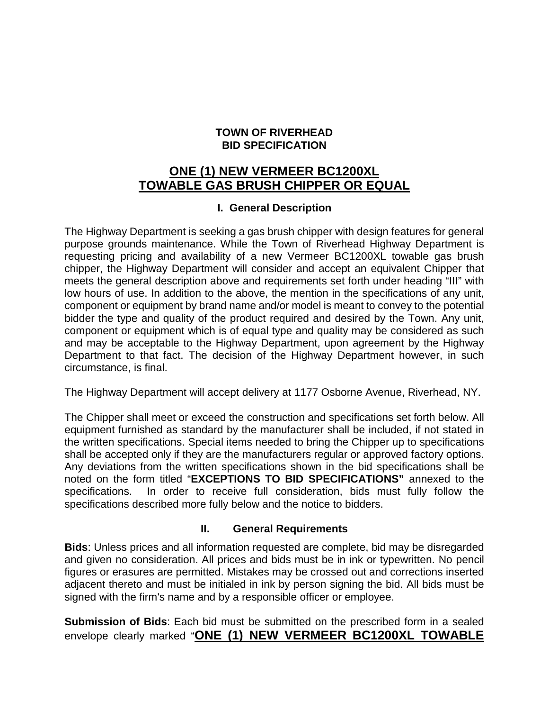### **TOWN OF RIVERHEAD BID SPECIFICATION**

# **ONE (1) NEW VERMEER BC1200XL TOWABLE GAS BRUSH CHIPPER OR EQUAL**

### **I. General Description**

The Highway Department is seeking a gas brush chipper with design features for general purpose grounds maintenance. While the Town of Riverhead Highway Department is requesting pricing and availability of a new Vermeer BC1200XL towable gas brush chipper, the Highway Department will consider and accept an equivalent Chipper that meets the general description above and requirements set forth under heading "III" with low hours of use. In addition to the above, the mention in the specifications of any unit, component or equipment by brand name and/or model is meant to convey to the potential bidder the type and quality of the product required and desired by the Town. Any unit, component or equipment which is of equal type and quality may be considered as such and may be acceptable to the Highway Department, upon agreement by the Highway Department to that fact. The decision of the Highway Department however, in such circumstance, is final.

The Highway Department will accept delivery at 1177 Osborne Avenue, Riverhead, NY.

The Chipper shall meet or exceed the construction and specifications set forth below. All equipment furnished as standard by the manufacturer shall be included, if not stated in the written specifications. Special items needed to bring the Chipper up to specifications shall be accepted only if they are the manufacturers regular or approved factory options. Any deviations from the written specifications shown in the bid specifications shall be noted on the form titled "**EXCEPTIONS TO BID SPECIFICATIONS"** annexed to the specifications. In order to receive full consideration, bids must fully follow the specifications described more fully below and the notice to bidders.

### **II. General Requirements**

**Bids**: Unless prices and all information requested are complete, bid may be disregarded and given no consideration. All prices and bids must be in ink or typewritten. No pencil figures or erasures are permitted. Mistakes may be crossed out and corrections inserted adjacent thereto and must be initialed in ink by person signing the bid. All bids must be signed with the firm's name and by a responsible officer or employee.

**Submission of Bids**: Each bid must be submitted on the prescribed form in a sealed envelope clearly marked "**ONE (1) NEW VERMEER BC1200XL TOWABLE**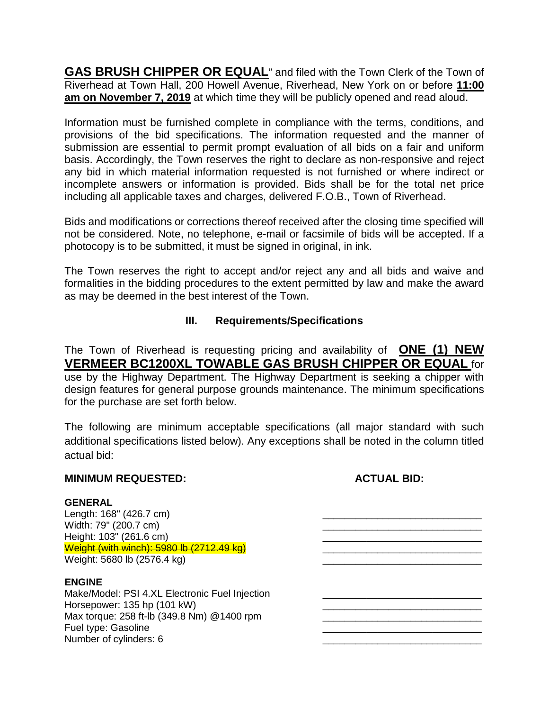**GAS BRUSH CHIPPER OR EQUAL**" and filed with the Town Clerk of the Town of Riverhead at Town Hall, 200 Howell Avenue, Riverhead, New York on or before **11:00 am on November 7, 2019** at which time they will be publicly opened and read aloud.

Information must be furnished complete in compliance with the terms, conditions, and provisions of the bid specifications. The information requested and the manner of submission are essential to permit prompt evaluation of all bids on a fair and uniform basis. Accordingly, the Town reserves the right to declare as non-responsive and reject any bid in which material information requested is not furnished or where indirect or incomplete answers or information is provided. Bids shall be for the total net price including all applicable taxes and charges, delivered F.O.B., Town of Riverhead.

Bids and modifications or corrections thereof received after the closing time specified will not be considered. Note, no telephone, e-mail or facsimile of bids will be accepted. If a photocopy is to be submitted, it must be signed in original, in ink.

The Town reserves the right to accept and/or reject any and all bids and waive and formalities in the bidding procedures to the extent permitted by law and make the award as may be deemed in the best interest of the Town.

## **III. Requirements/Specifications**

The Town of Riverhead is requesting pricing and availability of **ONE (1) NEW VERMEER BC1200XL TOWABLE GAS BRUSH CHIPPER OR EQUAL** for use by the Highway Department. The Highway Department is seeking a chipper with design features for general purpose grounds maintenance. The minimum specifications for the purchase are set forth below.

The following are minimum acceptable specifications (all major standard with such additional specifications listed below). Any exceptions shall be noted in the column titled actual bid:

#### **MINIMUM REQUESTED: ACTUAL BID:**

#### **GENERAL**

Length: 168" (426.7 cm)<br>Width: 79" (200.7 cm) Height: 103" (261.6 cm) Weight (with winch): 5980 lb (2712.49 kg) \_\_\_\_\_\_\_\_\_\_\_\_\_\_\_\_\_\_\_\_\_\_\_\_\_\_\_\_\_ Weight: 5680 lb (2576.4 kg)

#### **ENGINE**

Make/Model: PSI 4.XL Electronic Fuel Injection Horsepower: 135 hp (101 kW) **Details and the set of the set of the set of the set of the set of the set of the set of the set of the set of the set of the set of the set of the set of the set of the set of the set of the s** Max torque: 258 ft-lb (349.8 Nm) @1400 rpm<br>Fuel type: Gasoline Fuel type: Gasoline<br>Number of cylinders: 6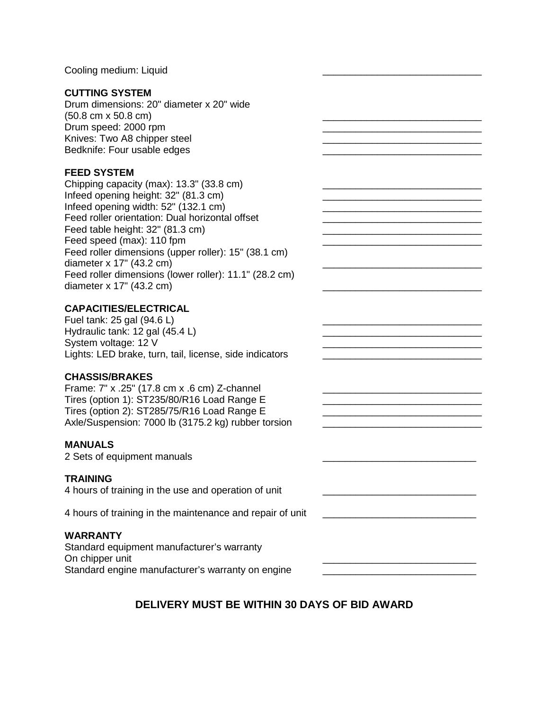Cooling medium: Liquid

#### **CUTTING SYSTEM**

Drum dimensions: 20" diameter x 20" wide  $(50.8 \text{ cm} \times 50.8 \text{ cm})$ Drum speed: 2000 rpm Knives: Two A8 chipper steel Bedknife: Four usable edges

#### **FEED SYSTEM**

Chipping capacity (max):  $13.3$ " (33.8 cm) Infeed opening height: 32" (81.3 cm) Infeed opening width: 52" (132.1 cm) Feed roller orientation: Dual horizontal offset Feed table height: 32" (81.3 cm) Feed speed (max): 110 fpm  $\blacksquare$ Feed roller dimensions (upper roller): 15" (38.1 cm) diameter  $x$  17" (43.2 cm) Feed roller dimensions (lower roller): 11.1" (28.2 cm) diameter  $x$  17" (43.2 cm)

#### **CAPACITIES/ELECTRICAL**

Fuel tank:  $25$  gal (94.6 L) Hydraulic tank: 12 gal  $(45.4 L)$ System voltage: 12 V Lights: LED brake, turn, tail, license, side indicators \_\_\_\_\_\_\_\_\_\_\_\_\_\_\_\_\_\_\_\_\_\_\_\_\_

#### **CHASSIS/BRAKES**

Frame: 7" x .25" (17.8 cm x .6 cm) Z-channel Tires (option 1): ST235/80/R16 Load Range E \_\_\_\_\_\_\_\_\_\_\_\_\_\_\_\_\_\_\_\_\_\_\_\_\_\_\_\_\_ Tires (option 2):  $ST285/75/R16$  Load Range E Axle/Suspension: 7000 lb (3175.2 kg) rubber torsion

#### **MANUALS**

2 Sets of equipment manuals

#### **TRAINING**

4 hours of training in the use and operation of unit

4 hours of training in the maintenance and repair of unit

#### **WARRANTY**

Standard equipment manufacturer's warranty On chipper unit Standard engine manufacturer's warranty on engine

### **DELIVERY MUST BE WITHIN 30 DAYS OF BID AWARD**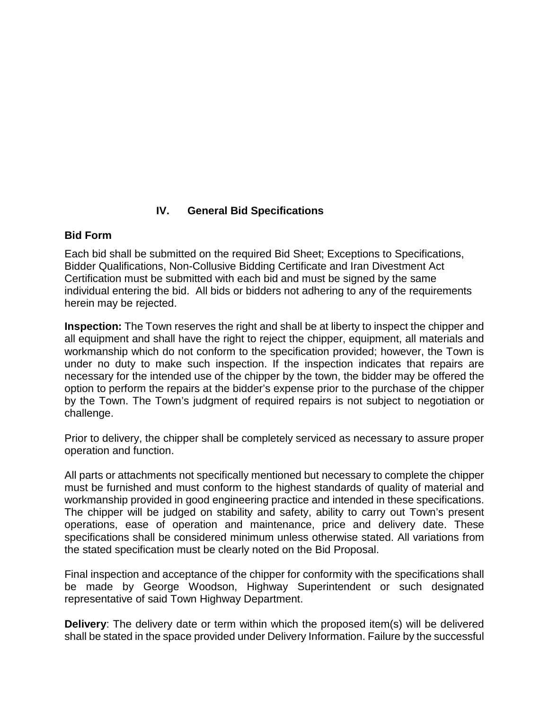## **IV. General Bid Specifications**

### **Bid Form**

Each bid shall be submitted on the required Bid Sheet; Exceptions to Specifications, Bidder Qualifications, Non-Collusive Bidding Certificate and Iran Divestment Act Certification must be submitted with each bid and must be signed by the same individual entering the bid. All bids or bidders not adhering to any of the requirements herein may be rejected.

**Inspection:** The Town reserves the right and shall be at liberty to inspect the chipper and all equipment and shall have the right to reject the chipper, equipment, all materials and workmanship which do not conform to the specification provided; however, the Town is under no duty to make such inspection. If the inspection indicates that repairs are necessary for the intended use of the chipper by the town, the bidder may be offered the option to perform the repairs at the bidder's expense prior to the purchase of the chipper by the Town. The Town's judgment of required repairs is not subject to negotiation or challenge.

Prior to delivery, the chipper shall be completely serviced as necessary to assure proper operation and function.

All parts or attachments not specifically mentioned but necessary to complete the chipper must be furnished and must conform to the highest standards of quality of material and workmanship provided in good engineering practice and intended in these specifications. The chipper will be judged on stability and safety, ability to carry out Town's present operations, ease of operation and maintenance, price and delivery date. These specifications shall be considered minimum unless otherwise stated. All variations from the stated specification must be clearly noted on the Bid Proposal.

Final inspection and acceptance of the chipper for conformity with the specifications shall be made by George Woodson, Highway Superintendent or such designated representative of said Town Highway Department.

**Delivery**: The delivery date or term within which the proposed item(s) will be delivered shall be stated in the space provided under Delivery Information. Failure by the successful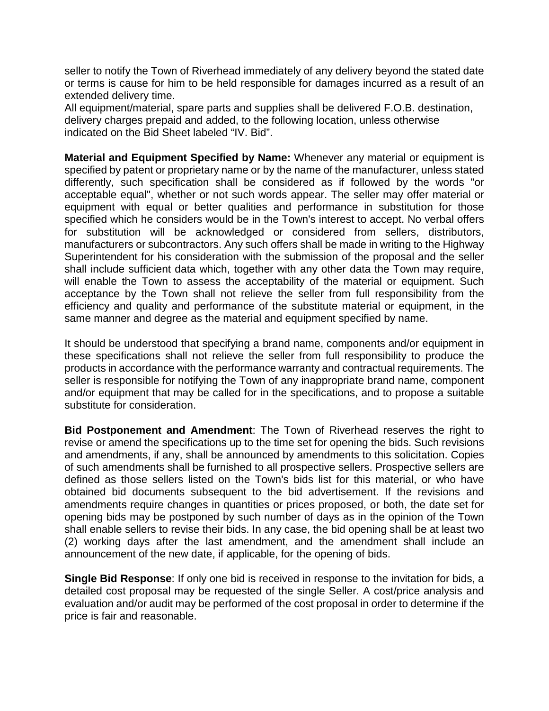seller to notify the Town of Riverhead immediately of any delivery beyond the stated date or terms is cause for him to be held responsible for damages incurred as a result of an extended delivery time.

All equipment/material, spare parts and supplies shall be delivered F.O.B. destination, delivery charges prepaid and added, to the following location, unless otherwise indicated on the Bid Sheet labeled "IV. Bid".

**Material and Equipment Specified by Name:** Whenever any material or equipment is specified by patent or proprietary name or by the name of the manufacturer, unless stated differently, such specification shall be considered as if followed by the words "or acceptable equal", whether or not such words appear. The seller may offer material or equipment with equal or better qualities and performance in substitution for those specified which he considers would be in the Town's interest to accept. No verbal offers for substitution will be acknowledged or considered from sellers, distributors, manufacturers or subcontractors. Any such offers shall be made in writing to the Highway Superintendent for his consideration with the submission of the proposal and the seller shall include sufficient data which, together with any other data the Town may require, will enable the Town to assess the acceptability of the material or equipment. Such acceptance by the Town shall not relieve the seller from full responsibility from the efficiency and quality and performance of the substitute material or equipment, in the same manner and degree as the material and equipment specified by name.

It should be understood that specifying a brand name, components and/or equipment in these specifications shall not relieve the seller from full responsibility to produce the products in accordance with the performance warranty and contractual requirements. The seller is responsible for notifying the Town of any inappropriate brand name, component and/or equipment that may be called for in the specifications, and to propose a suitable substitute for consideration.

**Bid Postponement and Amendment**: The Town of Riverhead reserves the right to revise or amend the specifications up to the time set for opening the bids. Such revisions and amendments, if any, shall be announced by amendments to this solicitation. Copies of such amendments shall be furnished to all prospective sellers. Prospective sellers are defined as those sellers listed on the Town's bids list for this material, or who have obtained bid documents subsequent to the bid advertisement. If the revisions and amendments require changes in quantities or prices proposed, or both, the date set for opening bids may be postponed by such number of days as in the opinion of the Town shall enable sellers to revise their bids. In any case, the bid opening shall be at least two (2) working days after the last amendment, and the amendment shall include an announcement of the new date, if applicable, for the opening of bids.

**Single Bid Response**: If only one bid is received in response to the invitation for bids, a detailed cost proposal may be requested of the single Seller. A cost/price analysis and evaluation and/or audit may be performed of the cost proposal in order to determine if the price is fair and reasonable.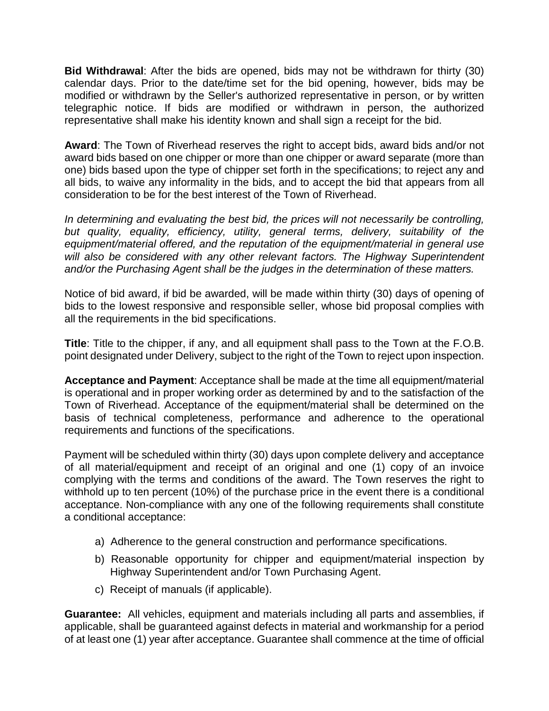**Bid Withdrawal**: After the bids are opened, bids may not be withdrawn for thirty (30) calendar days. Prior to the date/time set for the bid opening, however, bids may be modified or withdrawn by the Seller's authorized representative in person, or by written telegraphic notice. If bids are modified or withdrawn in person, the authorized representative shall make his identity known and shall sign a receipt for the bid.

**Award**: The Town of Riverhead reserves the right to accept bids, award bids and/or not award bids based on one chipper or more than one chipper or award separate (more than one) bids based upon the type of chipper set forth in the specifications; to reject any and all bids, to waive any informality in the bids, and to accept the bid that appears from all consideration to be for the best interest of the Town of Riverhead.

*In determining and evaluating the best bid, the prices will not necessarily be controlling, but quality, equality, efficiency, utility, general terms, delivery, suitability of the equipment/material offered, and the reputation of the equipment/material in general use will also be considered with any other relevant factors. The Highway Superintendent and/or the Purchasing Agent shall be the judges in the determination of these matters.* 

Notice of bid award, if bid be awarded, will be made within thirty (30) days of opening of bids to the lowest responsive and responsible seller, whose bid proposal complies with all the requirements in the bid specifications.

**Title**: Title to the chipper, if any, and all equipment shall pass to the Town at the F.O.B. point designated under Delivery, subject to the right of the Town to reject upon inspection.

**Acceptance and Payment**: Acceptance shall be made at the time all equipment/material is operational and in proper working order as determined by and to the satisfaction of the Town of Riverhead. Acceptance of the equipment/material shall be determined on the basis of technical completeness, performance and adherence to the operational requirements and functions of the specifications.

Payment will be scheduled within thirty (30) days upon complete delivery and acceptance of all material/equipment and receipt of an original and one (1) copy of an invoice complying with the terms and conditions of the award. The Town reserves the right to withhold up to ten percent (10%) of the purchase price in the event there is a conditional acceptance. Non-compliance with any one of the following requirements shall constitute a conditional acceptance:

- a) Adherence to the general construction and performance specifications.
- b) Reasonable opportunity for chipper and equipment/material inspection by Highway Superintendent and/or Town Purchasing Agent.
- c) Receipt of manuals (if applicable).

**Guarantee:** All vehicles, equipment and materials including all parts and assemblies, if applicable, shall be guaranteed against defects in material and workmanship for a period of at least one (1) year after acceptance. Guarantee shall commence at the time of official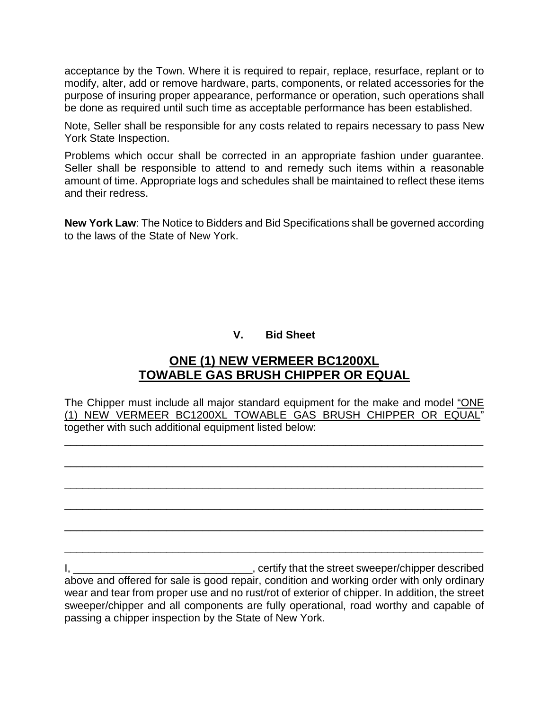acceptance by the Town. Where it is required to repair, replace, resurface, replant or to modify, alter, add or remove hardware, parts, components, or related accessories for the purpose of insuring proper appearance, performance or operation, such operations shall be done as required until such time as acceptable performance has been established.

Note, Seller shall be responsible for any costs related to repairs necessary to pass New York State Inspection.

Problems which occur shall be corrected in an appropriate fashion under guarantee. Seller shall be responsible to attend to and remedy such items within a reasonable amount of time. Appropriate logs and schedules shall be maintained to reflect these items and their redress.

**New York Law**: The Notice to Bidders and Bid Specifications shall be governed according to the laws of the State of New York.

# **V. Bid Sheet**

# **ONE (1) NEW VERMEER BC1200XL TOWABLE GAS BRUSH CHIPPER OR EQUAL**

The Chipper must include all major standard equipment for the make and model "ONE (1) NEW VERMEER BC1200XL TOWABLE GAS BRUSH CHIPPER OR EQUAL" together with such additional equipment listed below:

\_\_\_\_\_\_\_\_\_\_\_\_\_\_\_\_\_\_\_\_\_\_\_\_\_\_\_\_\_\_\_\_\_\_\_\_\_\_\_\_\_\_\_\_\_\_\_\_\_\_\_\_\_\_\_\_\_\_\_\_\_\_\_\_\_\_\_\_\_\_

\_\_\_\_\_\_\_\_\_\_\_\_\_\_\_\_\_\_\_\_\_\_\_\_\_\_\_\_\_\_\_\_\_\_\_\_\_\_\_\_\_\_\_\_\_\_\_\_\_\_\_\_\_\_\_\_\_\_\_\_\_\_\_\_\_\_\_\_\_\_

\_\_\_\_\_\_\_\_\_\_\_\_\_\_\_\_\_\_\_\_\_\_\_\_\_\_\_\_\_\_\_\_\_\_\_\_\_\_\_\_\_\_\_\_\_\_\_\_\_\_\_\_\_\_\_\_\_\_\_\_\_\_\_\_\_\_\_\_\_\_

\_\_\_\_\_\_\_\_\_\_\_\_\_\_\_\_\_\_\_\_\_\_\_\_\_\_\_\_\_\_\_\_\_\_\_\_\_\_\_\_\_\_\_\_\_\_\_\_\_\_\_\_\_\_\_\_\_\_\_\_\_\_\_\_\_\_\_\_\_\_

\_\_\_\_\_\_\_\_\_\_\_\_\_\_\_\_\_\_\_\_\_\_\_\_\_\_\_\_\_\_\_\_\_\_\_\_\_\_\_\_\_\_\_\_\_\_\_\_\_\_\_\_\_\_\_\_\_\_\_\_\_\_\_\_\_\_\_\_\_\_

\_\_\_\_\_\_\_\_\_\_\_\_\_\_\_\_\_\_\_\_\_\_\_\_\_\_\_\_\_\_\_\_\_\_\_\_\_\_\_\_\_\_\_\_\_\_\_\_\_\_\_\_\_\_\_\_\_\_\_\_\_\_\_\_\_\_\_\_\_\_

I, \_\_\_\_\_\_\_\_\_\_\_\_\_\_\_\_\_\_\_\_\_\_\_\_\_\_\_\_\_\_\_\_\_\_, certify that the street sweeper/chipper described above and offered for sale is good repair, condition and working order with only ordinary wear and tear from proper use and no rust/rot of exterior of chipper. In addition, the street sweeper/chipper and all components are fully operational, road worthy and capable of passing a chipper inspection by the State of New York.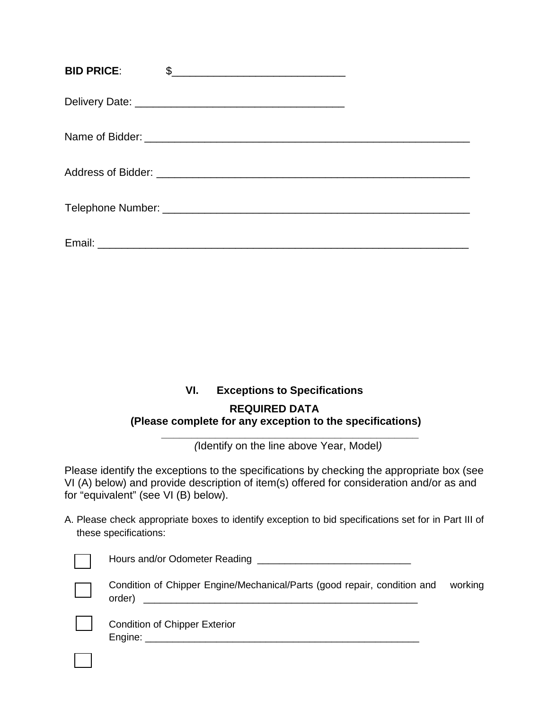| <b>BID PRICE:</b> | \$ |
|-------------------|----|
|                   |    |
|                   |    |
|                   |    |
|                   |    |
|                   |    |

# **VI. Exceptions to Specifications**

### **REQUIRED DATA (Please complete for any exception to the specifications)**

**\_\_\_\_\_\_\_\_\_\_\_\_\_\_\_\_\_\_\_\_\_\_\_\_\_\_\_\_\_\_\_\_\_\_\_\_\_\_\_\_\_\_\_** *(*Identify on the line above Year, Model*)*

Please identify the exceptions to the specifications by checking the appropriate box (see VI (A) below) and provide description of item(s) offered for consideration and/or as and for "equivalent" (see VI (B) below).

A. Please check appropriate boxes to identify exception to bid specifications set for in Part III of these specifications:

| Hours and/or Odometer Reading                                                  |
|--------------------------------------------------------------------------------|
| Condition of Chipper Engine/Mechanical/Parts (good repair, condition<br>order) |

dition of Chipper Engine/Mechanical/Parts (good repair, condition and working  $\mathsf{r})$ 

| -- |
|----|
|    |
|    |
|    |
|    |
|    |
|    |
|    |
|    |
|    |

Condition of Chipper Exterior Engine: \_\_\_\_\_\_\_\_\_\_\_\_\_\_\_\_\_\_\_\_\_\_\_\_\_\_\_\_\_\_\_\_\_\_\_\_\_\_\_\_\_\_\_\_\_\_\_\_\_\_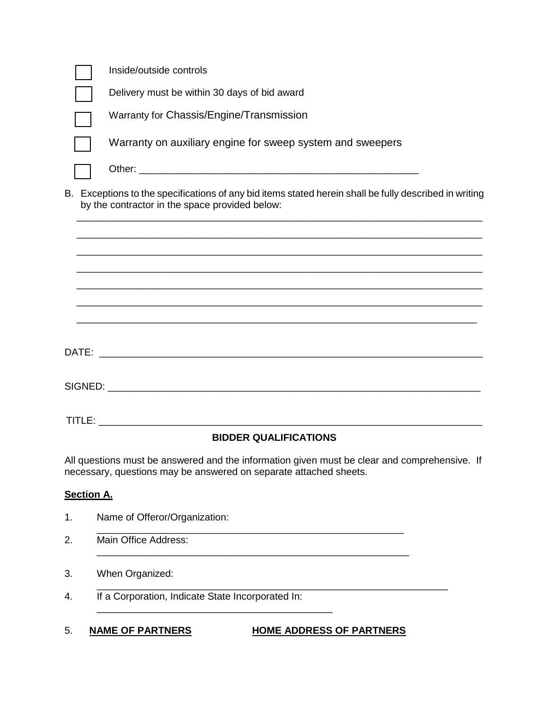|                   | Inside/outside controls                                                                                                                                           |
|-------------------|-------------------------------------------------------------------------------------------------------------------------------------------------------------------|
|                   | Delivery must be within 30 days of bid award                                                                                                                      |
|                   | Warranty for Chassis/Engine/Transmission                                                                                                                          |
|                   | Warranty on auxiliary engine for sweep system and sweepers                                                                                                        |
|                   |                                                                                                                                                                   |
|                   | B. Exceptions to the specifications of any bid items stated herein shall be fully described in writing<br>by the contractor in the space provided below:          |
|                   | ,我们也不能在这里的人,我们也不能在这里的人,我们也不能在这里的人,我们也不能在这里的人,我们也不能在这里的人,我们也不能在这里的人,我们也不能在这里的人,我们                                                                                  |
|                   |                                                                                                                                                                   |
|                   |                                                                                                                                                                   |
|                   |                                                                                                                                                                   |
|                   |                                                                                                                                                                   |
|                   |                                                                                                                                                                   |
|                   |                                                                                                                                                                   |
|                   | <b>BIDDER QUALIFICATIONS</b>                                                                                                                                      |
|                   | All questions must be answered and the information given must be clear and comprehensive. If<br>necessary, questions may be answered on separate attached sheets. |
| <b>Section A.</b> |                                                                                                                                                                   |
| 1.                | Name of Offeror/Organization:                                                                                                                                     |
| 2.                | Main Office Address:                                                                                                                                              |
| 3.                | When Organized:                                                                                                                                                   |
| 4.                | If a Corporation, Indicate State Incorporated In:                                                                                                                 |
|                   |                                                                                                                                                                   |

5. **NAME OF PARTNERS HOME ADDRESS OF PARTNERS**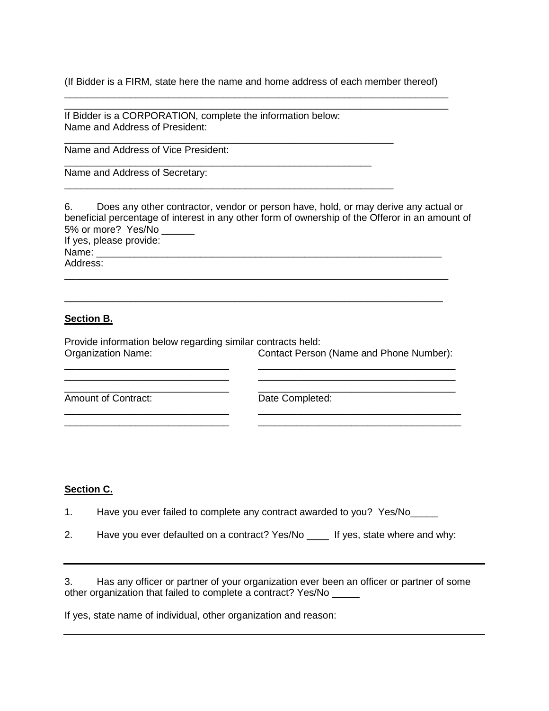(If Bidder is a FIRM, state here the name and home address of each member thereof) \_\_\_\_\_\_\_\_\_\_\_\_\_\_\_\_\_\_\_\_\_\_\_\_\_\_\_\_\_\_\_\_\_\_\_\_\_\_\_\_\_\_\_\_\_\_\_\_\_\_\_\_\_\_\_\_\_\_\_\_\_\_\_\_\_\_\_\_\_\_

\_\_\_\_\_\_\_\_\_\_\_\_\_\_\_\_\_\_\_\_\_\_\_\_\_\_\_\_\_\_\_\_\_\_\_\_\_\_\_\_\_\_\_\_\_\_\_\_\_\_\_\_\_\_\_\_\_\_\_\_\_\_\_\_\_\_\_\_\_\_

If Bidder is a CORPORATION, complete the information below: Name and Address of President:

\_\_\_\_\_\_\_\_\_\_\_\_\_\_\_\_\_\_\_\_\_\_\_\_\_\_\_\_\_\_\_\_\_\_\_\_\_\_\_\_\_\_\_\_\_\_\_\_\_\_\_\_\_\_\_\_\_\_\_\_

\_\_\_\_\_\_\_\_\_\_\_\_\_\_\_\_\_\_\_\_\_\_\_\_\_\_\_\_\_\_\_\_\_\_\_\_\_\_\_\_\_\_\_\_\_\_\_\_\_\_\_\_\_\_\_\_\_\_\_\_

\_\_\_\_\_\_\_\_\_\_\_\_\_\_\_\_\_\_\_\_\_\_\_\_\_\_\_\_\_\_\_\_\_\_\_\_\_\_\_\_\_\_\_\_\_\_\_\_\_\_\_\_\_\_\_\_

Name and Address of Vice President:

Name and Address of Secretary:

6. Does any other contractor, vendor or person have, hold, or may derive any actual or beneficial percentage of interest in any other form of ownership of the Offeror in an amount of 5% or more? Yes/No \_\_\_\_\_\_ If yes, please provide:  $Name:$ 

Address:

#### **Section B.**

Provide information below regarding similar contracts held: Contact Person (Name and Phone Number):

\_\_\_\_\_\_\_\_\_\_\_\_\_\_\_\_\_\_\_\_\_\_\_\_\_\_\_\_\_\_ \_\_\_\_\_\_\_\_\_\_\_\_\_\_\_\_\_\_\_\_\_\_\_\_\_\_\_\_\_\_\_\_\_\_\_\_ \_\_\_\_\_\_\_\_\_\_\_\_\_\_\_\_\_\_\_\_\_\_\_\_\_\_\_\_\_\_ \_\_\_\_\_\_\_\_\_\_\_\_\_\_\_\_\_\_\_\_\_\_\_\_\_\_\_\_\_\_\_\_\_\_\_\_

\_\_\_\_\_\_\_\_\_\_\_\_\_\_\_\_\_\_\_\_\_\_\_\_\_\_\_\_\_\_ \_\_\_\_\_\_\_\_\_\_\_\_\_\_\_\_\_\_\_\_\_\_\_\_\_\_\_\_\_\_\_\_\_\_\_\_\_ \_\_\_\_\_\_\_\_\_\_\_\_\_\_\_\_\_\_\_\_\_\_\_\_\_\_\_\_\_\_ \_\_\_\_\_\_\_\_\_\_\_\_\_\_\_\_\_\_\_\_\_\_\_\_\_\_\_\_\_\_\_\_\_\_\_\_\_

\_\_\_\_\_\_\_\_\_\_\_\_\_\_\_\_\_\_\_\_\_\_\_\_\_\_\_\_\_\_\_\_\_\_\_\_\_\_\_\_\_\_\_\_\_\_\_\_\_\_\_\_\_\_\_\_\_\_\_\_\_\_\_\_\_\_\_\_\_\_

\_\_\_\_\_\_\_\_\_\_\_\_\_\_\_\_\_\_\_\_\_\_\_\_\_\_\_\_\_\_\_\_\_\_\_\_\_\_\_\_\_\_\_\_\_\_\_\_\_\_\_\_\_\_\_\_\_\_\_\_\_\_\_\_\_\_\_\_\_

\_\_\_\_\_\_\_\_\_\_\_\_\_\_\_\_\_\_\_\_\_\_\_\_\_\_\_\_\_\_ \_\_\_\_\_\_\_\_\_\_\_\_\_\_\_\_\_\_\_\_\_\_\_\_\_\_\_\_\_\_\_\_\_\_\_\_ Amount of Contract: Date Completed:

#### **Section C.**

1. Have you ever failed to complete any contract awarded to you? Yes/No

2. Have you ever defaulted on a contract? Yes/No \_\_\_\_ If yes, state where and why:

3. Has any officer or partner of your organization ever been an officer or partner of some other organization that failed to complete a contract? Yes/No \_\_\_\_\_

If yes, state name of individual, other organization and reason: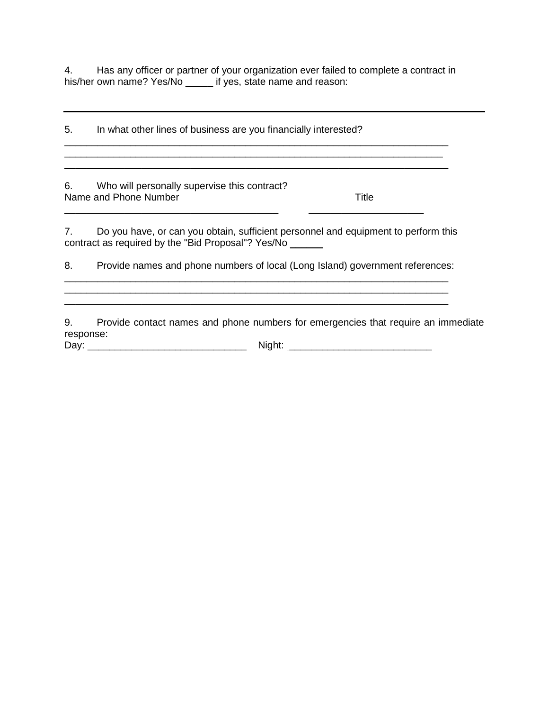4. Has any officer or partner of your organization ever failed to complete a contract in his/her own name? Yes/No \_\_\_\_\_\_ if yes, state name and reason:

5. In what other lines of business are you financially interested? \_\_\_\_\_\_\_\_\_\_\_\_\_\_\_\_\_\_\_\_\_\_\_\_\_\_\_\_\_\_\_\_\_\_\_\_\_\_\_\_\_\_\_\_\_\_\_\_\_\_\_\_\_\_\_\_\_\_\_\_\_\_\_\_\_\_\_\_\_\_ 6. Who will personally supervise this contract? Name and Phone Number Title \_\_\_\_\_\_\_\_\_\_\_\_\_\_\_\_\_\_\_\_\_\_\_\_\_\_\_\_\_\_\_\_\_\_\_\_\_\_\_ \_\_\_\_\_\_\_\_\_\_\_\_\_\_\_\_\_\_\_\_\_ 7. Do you have, or can you obtain, sufficient personnel and equipment to perform this contract as required by the "Bid Proposal"? Yes/No \_\_\_\_\_\_ 8. Provide names and phone numbers of local (Long Island) government references: \_\_\_\_\_\_\_\_\_\_\_\_\_\_\_\_\_\_\_\_\_\_\_\_\_\_\_\_\_\_\_\_\_\_\_\_\_\_\_\_\_\_\_\_\_\_\_\_\_\_\_\_\_\_\_\_\_\_\_\_\_\_\_\_\_\_\_\_\_\_ \_\_\_\_\_\_\_\_\_\_\_\_\_\_\_\_\_\_\_\_\_\_\_\_\_\_\_\_\_\_\_\_\_\_\_\_\_\_\_\_\_\_\_\_\_\_\_\_\_\_\_\_\_\_\_\_\_\_\_\_\_\_\_\_\_\_\_\_\_\_

9. Provide contact names and phone numbers for emergencies that require an immediate response:

Day: \_\_\_\_\_\_\_\_\_\_\_\_\_\_\_\_\_\_\_\_\_\_\_\_\_\_\_\_\_ Night: \_\_\_\_\_\_\_\_\_\_\_\_\_\_\_\_\_\_\_\_\_\_\_\_\_\_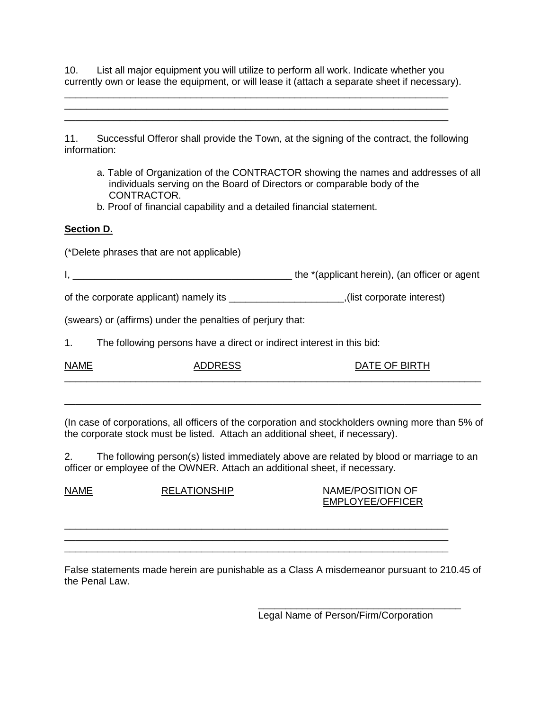10. List all major equipment you will utilize to perform all work. Indicate whether you currently own or lease the equipment, or will lease it (attach a separate sheet if necessary).

\_\_\_\_\_\_\_\_\_\_\_\_\_\_\_\_\_\_\_\_\_\_\_\_\_\_\_\_\_\_\_\_\_\_\_\_\_\_\_\_\_\_\_\_\_\_\_\_\_\_\_\_\_\_\_\_\_\_\_\_\_\_\_\_\_\_\_\_\_\_ \_\_\_\_\_\_\_\_\_\_\_\_\_\_\_\_\_\_\_\_\_\_\_\_\_\_\_\_\_\_\_\_\_\_\_\_\_\_\_\_\_\_\_\_\_\_\_\_\_\_\_\_\_\_\_\_\_\_\_\_\_\_\_\_\_\_\_\_\_\_

11. Successful Offeror shall provide the Town, at the signing of the contract, the following information:

a. Table of Organization of the CONTRACTOR showing the names and addresses of all individuals serving on the Board of Directors or comparable body of the CONTRACTOR.

\_\_\_\_\_\_\_\_\_\_\_\_\_\_\_\_\_\_\_\_\_\_\_\_\_\_\_\_\_\_\_\_\_\_\_\_\_\_\_\_\_\_\_\_\_\_\_\_\_\_\_\_\_\_\_\_\_\_\_\_\_\_\_\_\_\_\_\_\_\_

b. Proof of financial capability and a detailed financial statement.

#### **Section D.**

(\*Delete phrases that are not applicable)

I, \_\_\_\_\_\_\_\_\_\_\_\_\_\_\_\_\_\_\_\_\_\_\_\_\_\_\_\_\_\_\_\_\_\_\_\_\_\_\_\_ the \*(applicant herein), (an officer or agent

of the corporate applicant) namely its \_\_\_\_\_\_\_\_\_\_\_\_\_\_\_\_\_\_\_\_\_,(list corporate interest)

(swears) or (affirms) under the penalties of perjury that:

1. The following persons have a direct or indirect interest in this bid:

| <b>NAME</b> | <b>INNDECC</b><br>៶∟ບບ | DATE OF BIRTH |
|-------------|------------------------|---------------|
|             |                        |               |

(In case of corporations, all officers of the corporation and stockholders owning more than 5% of the corporate stock must be listed. Attach an additional sheet, if necessary).

\_\_\_\_\_\_\_\_\_\_\_\_\_\_\_\_\_\_\_\_\_\_\_\_\_\_\_\_\_\_\_\_\_\_\_\_\_\_\_\_\_\_\_\_\_\_\_\_\_\_\_\_\_\_\_\_\_\_\_\_\_\_\_\_\_\_\_\_\_\_\_\_\_\_\_\_

2. The following person(s) listed immediately above are related by blood or marriage to an officer or employee of the OWNER. Attach an additional sheet, if necessary.

NAME RELATIONSHIP NAME/POSITION OF EMPLOYEE/OFFICER

False statements made herein are punishable as a Class A misdemeanor pursuant to 210.45 of the Penal Law.

\_\_\_\_\_\_\_\_\_\_\_\_\_\_\_\_\_\_\_\_\_\_\_\_\_\_\_\_\_\_\_\_\_\_\_\_\_\_\_\_\_\_\_\_\_\_\_\_\_\_\_\_\_\_\_\_\_\_\_\_\_\_\_\_\_\_\_\_\_\_ \_\_\_\_\_\_\_\_\_\_\_\_\_\_\_\_\_\_\_\_\_\_\_\_\_\_\_\_\_\_\_\_\_\_\_\_\_\_\_\_\_\_\_\_\_\_\_\_\_\_\_\_\_\_\_\_\_\_\_\_\_\_\_\_\_\_\_\_\_\_ \_\_\_\_\_\_\_\_\_\_\_\_\_\_\_\_\_\_\_\_\_\_\_\_\_\_\_\_\_\_\_\_\_\_\_\_\_\_\_\_\_\_\_\_\_\_\_\_\_\_\_\_\_\_\_\_\_\_\_\_\_\_\_\_\_\_\_\_\_\_

> \_\_\_\_\_\_\_\_\_\_\_\_\_\_\_\_\_\_\_\_\_\_\_\_\_\_\_\_\_\_\_\_\_\_\_\_\_ Legal Name of Person/Firm/Corporation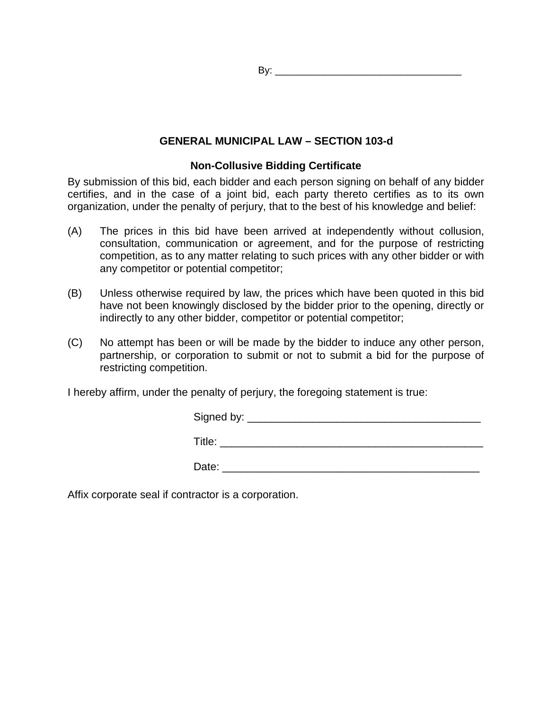By: \_\_\_\_\_\_\_\_\_\_\_\_\_\_\_\_\_\_\_\_\_\_\_\_\_\_\_\_\_\_\_\_\_\_

### **GENERAL MUNICIPAL LAW – SECTION 103-d**

### **Non-Collusive Bidding Certificate**

By submission of this bid, each bidder and each person signing on behalf of any bidder certifies, and in the case of a joint bid, each party thereto certifies as to its own organization, under the penalty of perjury, that to the best of his knowledge and belief:

- (A) The prices in this bid have been arrived at independently without collusion, consultation, communication or agreement, and for the purpose of restricting competition, as to any matter relating to such prices with any other bidder or with any competitor or potential competitor;
- (B) Unless otherwise required by law, the prices which have been quoted in this bid have not been knowingly disclosed by the bidder prior to the opening, directly or indirectly to any other bidder, competitor or potential competitor;
- (C) No attempt has been or will be made by the bidder to induce any other person, partnership, or corporation to submit or not to submit a bid for the purpose of restricting competition.

I hereby affirm, under the penalty of perjury, the foregoing statement is true:

| Signed by: |  |  |  |
|------------|--|--|--|
|            |  |  |  |
| Title:     |  |  |  |

Date: \_\_\_\_\_\_\_\_\_\_\_\_\_\_\_\_\_\_\_\_\_\_\_\_\_\_\_\_\_\_\_\_\_\_\_\_\_\_\_\_\_\_\_

Affix corporate seal if contractor is a corporation.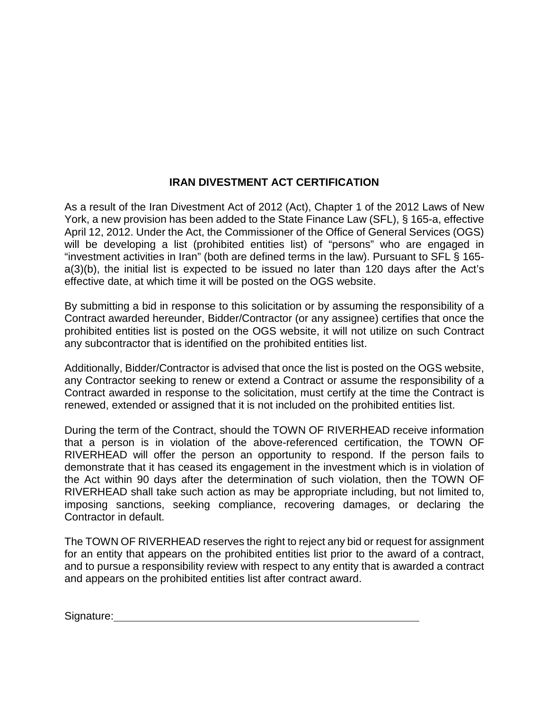# **IRAN DIVESTMENT ACT CERTIFICATION**

As a result of the Iran Divestment Act of 2012 (Act), Chapter 1 of the 2012 Laws of New York, a new provision has been added to the State Finance Law (SFL), § 165-a, effective April 12, 2012. Under the Act, the Commissioner of the Office of General Services (OGS) will be developing a list (prohibited entities list) of "persons" who are engaged in "investment activities in Iran" (both are defined terms in the law). Pursuant to SFL § 165 a(3)(b), the initial list is expected to be issued no later than 120 days after the Act's effective date, at which time it will be posted on the OGS website.

By submitting a bid in response to this solicitation or by assuming the responsibility of a Contract awarded hereunder, Bidder/Contractor (or any assignee) certifies that once the prohibited entities list is posted on the OGS website, it will not utilize on such Contract any subcontractor that is identified on the prohibited entities list.

Additionally, Bidder/Contractor is advised that once the list is posted on the OGS website, any Contractor seeking to renew or extend a Contract or assume the responsibility of a Contract awarded in response to the solicitation, must certify at the time the Contract is renewed, extended or assigned that it is not included on the prohibited entities list.

During the term of the Contract, should the TOWN OF RIVERHEAD receive information that a person is in violation of the above-referenced certification, the TOWN OF RIVERHEAD will offer the person an opportunity to respond. If the person fails to demonstrate that it has ceased its engagement in the investment which is in violation of the Act within 90 days after the determination of such violation, then the TOWN OF RIVERHEAD shall take such action as may be appropriate including, but not limited to, imposing sanctions, seeking compliance, recovering damages, or declaring the Contractor in default.

The TOWN OF RIVERHEAD reserves the right to reject any bid or request for assignment for an entity that appears on the prohibited entities list prior to the award of a contract, and to pursue a responsibility review with respect to any entity that is awarded a contract and appears on the prohibited entities list after contract award.

Signature: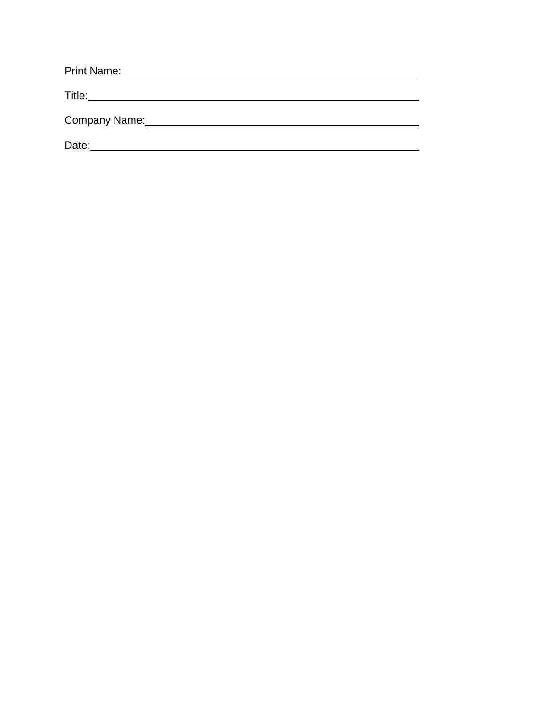| <b>Print Name:</b> |
|--------------------|
| Title:             |
| Company Name:      |
| Date:              |